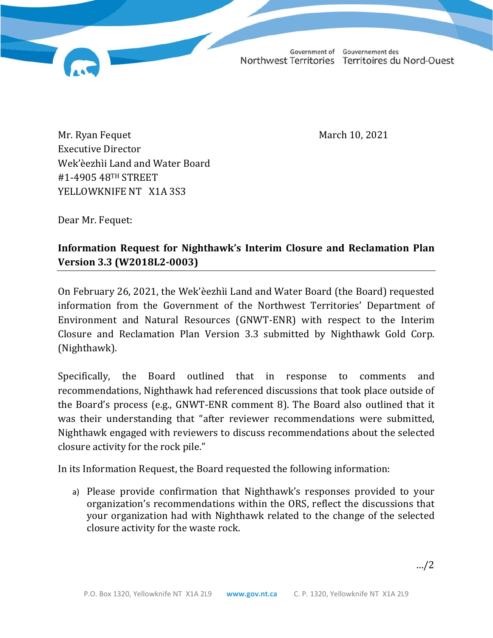Government of Gouvernement des Northwest Territories Territoires du Nord-Ouest

Mr. Ryan Fequet March 10, 2021 Executive Director Wek'èezhìi Land and Water Board #1-4905 48TH STREET YELLOWKNIFE NT X1A 3S3

Dear Mr. Fequet:

## **Information Request for Nighthawk's Interim Closure and Reclamation Plan Version 3.3 (W2018L2-0003)**

On February 26, 2021, the Wek'èezhìi Land and Water Board (the Board) requested information from the Government of the Northwest Territories' Department of Environment and Natural Resources (GNWT-ENR) with respect to the Interim Closure and Reclamation Plan Version 3.3 submitted by Nighthawk Gold Corp. (Nighthawk).

Specifically, the Board outlined that in response to comments and recommendations, Nighthawk had referenced discussions that took place outside of the Board's process (e.g., GNWT-ENR comment 8). The Board also outlined that it was their understanding that "after reviewer recommendations were submitted, Nighthawk engaged with reviewers to discuss recommendations about the selected closure activity for the rock pile."

In its Information Request, the Board requested the following information:

a) Please provide confirmation that Nighthawk's responses provided to your organization's recommendations within the ORS, reflect the discussions that your organization had with Nighthawk related to the change of the selected closure activity for the waste rock.

…/2